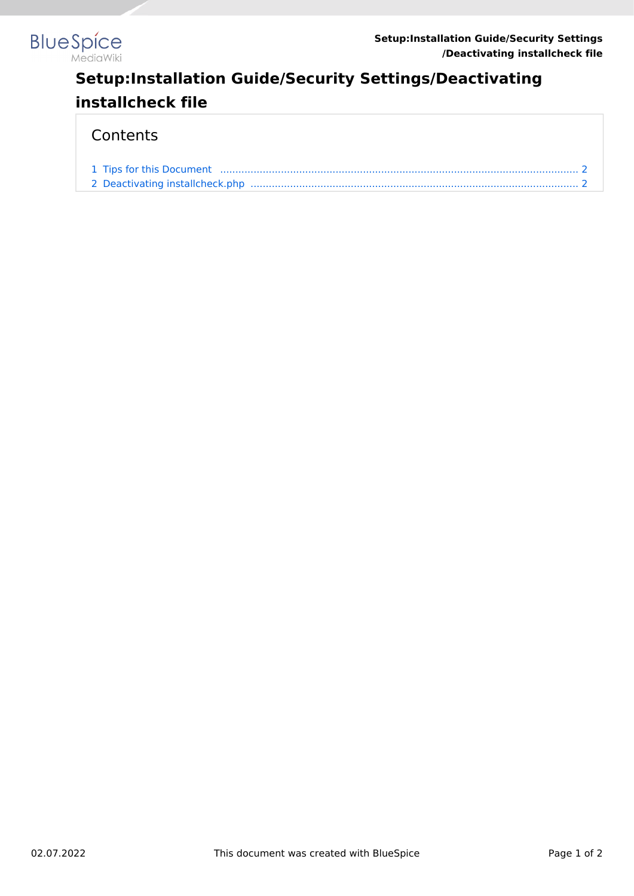

## **Setup:Installation Guide/Security Settings/Deactivating installcheck file**

## **Contents**